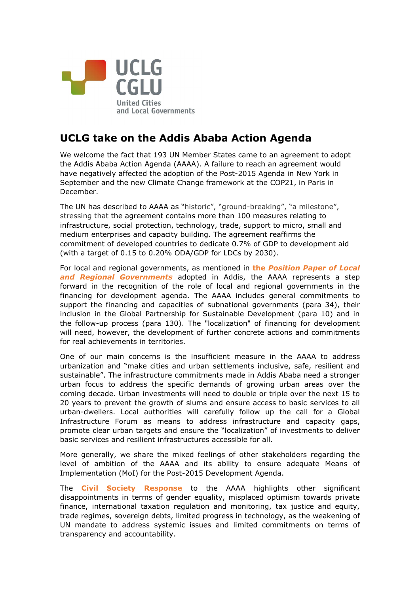

## **UCLG take on the Addis Ababa Action Agenda**

We welcome the fact that 193 UN Member States came to an agreement to adopt the Addis Ababa Action Agenda (AAAA). A failure to reach an agreement would have negatively affected the adoption of the Post-2015 Agenda in New York in September and the new Climate Change framework at the COP21, in Paris in December.

The UN has described to AAAA as "historic", "ground-breaking", "a milestone", stressing that the agreement contains more than 100 measures relating to infrastructure, social protection, technology, trade, support to micro, small and medium enterprises and capacity building. The agreement reaffirms the commitment of developed countries to dedicate 0.7% of GDP to development aid (with a target of 0.15 to 0.20% ODA/GDP for LDCs by 2030).

For local and regional governments, as mentioned in **the** *[Position Paper of Local](http://media.wix.com/ugd/bfe783_a40bb945e7e845f7aac510366357961a.pdf)  [and Regional Governments](http://media.wix.com/ugd/bfe783_a40bb945e7e845f7aac510366357961a.pdf)* adopted in Addis, the AAAA represents a step forward in the recognition of the role of local and regional governments in the financing for development agenda. The AAAA includes general commitments to support the financing and capacities of subnational governments (para 34), their inclusion in the Global Partnership for Sustainable Development (para 10) and in the follow-up process (para 130). The "localization" of financing for development will need, however, the development of further concrete actions and commitments for real achievements in territories.

One of our main concerns is the insufficient measure in the AAAA to address urbanization and "make cities and urban settlements inclusive, safe, resilient and sustainable". The infrastructure commitments made in Addis Ababa need a stronger urban focus to address the specific demands of growing urban areas over the coming decade. Urban investments will need to double or triple over the next 15 to 20 years to prevent the growth of slums and ensure access to basic services to all urban-dwellers. Local authorities will carefully follow up the call for a Global Infrastructure Forum as means to address infrastructure and capacity gaps, promote clear urban targets and ensure the "localization" of investments to deliver basic services and resilient infrastructures accessible for all.

More generally, we share the mixed feelings of other stakeholders regarding the level of ambition of the AAAA and its ability to ensure adequate Means of Implementation (MoI) for the Post-2015 Development Agenda.

The **[Civil Society Response](https://csoforffd.files.wordpress.com/2015/07/cso-response-to-ffd-addis-ababa-action-agenda-16-july-2015.pdf)** to the AAAA highlights other significant disappointments in terms of gender equality, misplaced optimism towards private finance, international taxation regulation and monitoring, tax justice and equity, trade regimes, sovereign debts, limited progress in technology, as the weakening of UN mandate to address systemic issues and limited commitments on terms of transparency and accountability.